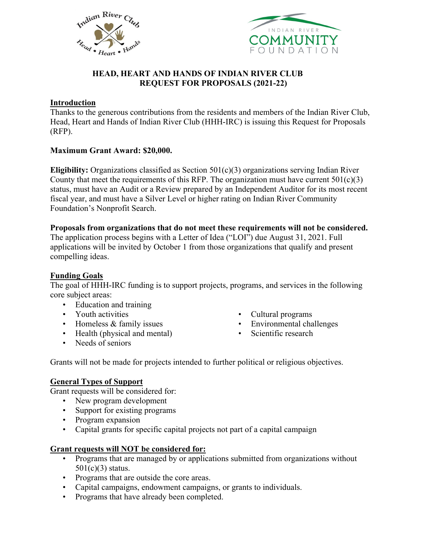



# **HEAD, HEART AND HANDS OF INDIAN RIVER CLUB REQUEST FOR PROPOSALS (2021-22)**

### **Introduction**

Thanks to the generous contributions from the residents and members of the Indian River Club, Head, Heart and Hands of Indian River Club (HHH-IRC) is issuing this Request for Proposals (RFP).

## **Maximum Grant Award: \$20,000.**

**Eligibility:** Organizations classified as Section 501(c)(3) organizations serving Indian River County that meet the requirements of this RFP. The organization must have current  $501(c)(3)$ status, must have an Audit or a Review prepared by an Independent Auditor for its most recent fiscal year, and must have a Silver Level or higher rating on Indian River Community Foundation's Nonprofit Search.

### **Proposals from organizations that do not meet these requirements will not be considered.**

The application process begins with a Letter of Idea ("LOI") due August 31, 2021. Full applications will be invited by October 1 from those organizations that qualify and present compelling ideas.

# **Funding Goals**

The goal of HHH-IRC funding is to support projects, programs, and services in the following core subject areas:

- Education and training
- Youth activities
- Homeless & family issues
- Health (physical and mental)
- Needs of seniors
- Cultural programs
- Environmental challenges
- Scientific research

Grants will not be made for projects intended to further political or religious objectives.

## **General Types of Support**

Grant requests will be considered for:

- New program development
- Support for existing programs
- Program expansion
- Capital grants for specific capital projects not part of a capital campaign

### **Grant requests will NOT be considered for:**

- Programs that are managed by or applications submitted from organizations without  $501(c)(3)$  status.
- Programs that are outside the core areas.
- Capital campaigns, endowment campaigns, or grants to individuals.
- Programs that have already been completed.